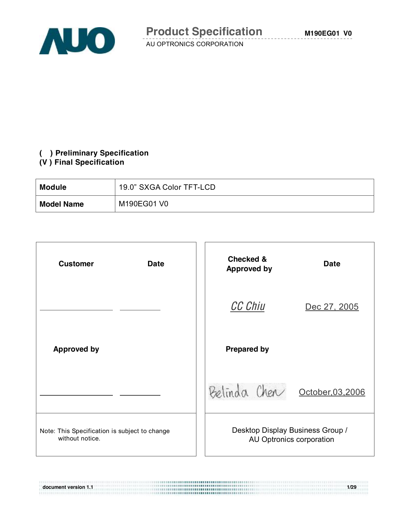



#### **( ) Preliminary Specification (V ) Final Specification**

| <b>Module</b>     | 19.0" SXGA Color TFT-LCD |
|-------------------|--------------------------|
| <b>Model Name</b> | M190EG01 V0              |

| <b>Customer</b><br><b>Date</b>                                   | <b>Checked &amp;</b><br><b>Approved by</b>                   | <b>Date</b>       |
|------------------------------------------------------------------|--------------------------------------------------------------|-------------------|
|                                                                  | <b>CC Chiu</b>                                               | Dec 27, 2005      |
| <b>Approved by</b>                                               | <b>Prepared by</b>                                           |                   |
|                                                                  | Belinda Chen                                                 | October, 03, 2006 |
| Note: This Specification is subject to change<br>without notice. | Desktop Display Business Group /<br>AU Optronics corporation |                   |

**document version 1.1 1/29**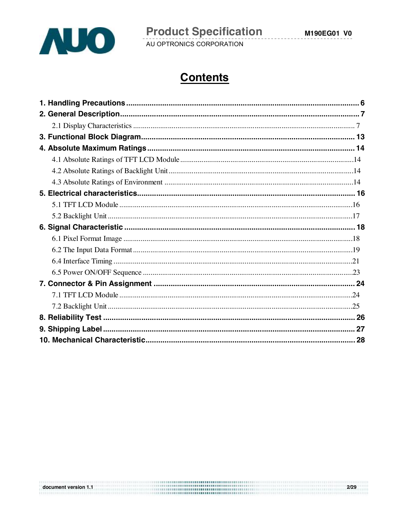

M190EG01 V0

AU OPTRONICS CORPORATION

# **Contents**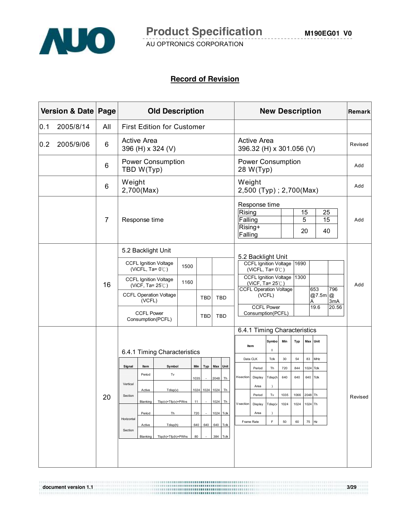

#### **Record of Revision**

|     | Version & Date Page |                | <b>Old Description</b> |                                         |                               |      | <b>New Description</b> |              |                                                |               |  | Remark                                |                                                                                  |               |                             |              |         |                   |                              |         |
|-----|---------------------|----------------|------------------------|-----------------------------------------|-------------------------------|------|------------------------|--------------|------------------------------------------------|---------------|--|---------------------------------------|----------------------------------------------------------------------------------|---------------|-----------------------------|--------------|---------|-------------------|------------------------------|---------|
| 0.1 | 2005/8/14           | All            |                        | <b>First Edition for Customer</b>       |                               |      |                        |              |                                                |               |  |                                       |                                                                                  |               |                             |              |         |                   |                              |         |
| 0.2 | 2005/9/06           | 6              |                        | <b>Active Area</b><br>396 (H) x 324 (V) |                               |      |                        |              | <b>Active Area</b><br>396.32 (H) x 301.056 (V) |               |  |                                       |                                                                                  |               | Revised                     |              |         |                   |                              |         |
|     |                     | 6              |                        | TBD W(Typ)                              | Power Consumption             |      |                        |              |                                                |               |  | <b>Power Consumption</b><br>28 W(Typ) |                                                                                  |               |                             |              |         | Add               |                              |         |
|     |                     | 6              | Weight<br>2,700(Max)   |                                         |                               |      |                        |              |                                                |               |  | Weight                                | 2,500 (Typ); 2,700(Max)                                                          |               |                             |              |         |                   |                              | Add     |
|     |                     | $\overline{7}$ |                        | Response time                           |                               |      |                        |              | Rising<br>Falling<br>Rising+<br>Falling        | Response time |  |                                       |                                                                                  | 15<br>5<br>20 | 25<br>$\overline{15}$<br>40 |              | Add     |                   |                              |         |
|     |                     |                |                        |                                         | 5.2 Backlight Unit            |      |                        |              |                                                |               |  |                                       |                                                                                  |               |                             |              |         |                   |                              |         |
|     |                     |                |                        | (ViCFL, Ta= $0^{\circ}$ C)              | <b>CCFL Ignition Voltage</b>  | 1500 |                        |              |                                                |               |  |                                       | 5.2 Backlight Unit<br><b>CCFL Ignition Voltage</b><br>(ViCFL, Ta= $0^{\circ}$ C) |               |                             | 1690         |         |                   |                              |         |
|     |                     | 16             |                        | (ViCF, Ta= $25^{\circ}$ C)              | <b>CCFL Ignition Voltage</b>  | 1160 |                        |              |                                                |               |  |                                       | <b>CCFL Ignition Voltage</b><br>(ViCF, Ta= $25^{\circ}$ C)                       |               |                             | 1300         |         |                   |                              | Add     |
|     |                     |                |                        | (VCFL)                                  | <b>CCFL Operation Voltage</b> |      |                        | <b>TBD</b>   |                                                | <b>TBD</b>    |  |                                       | <b>CCFL Operation Voltage</b>                                                    | (VCFL)        |                             |              |         | 653<br>@7.5m<br>Α | 796<br>$^{\circledR}$<br>3mA |         |
|     |                     |                |                        | <b>CCFL Power</b>                       | Consumption(PCFL)             |      |                        | <b>TBD</b>   |                                                | <b>TBD</b>    |  |                                       | <b>CCFL Power</b><br>Consumption(PCFL)                                           |               |                             |              |         | 19.6              | 20.56                        |         |
|     |                     |                |                        |                                         |                               |      |                        |              |                                                |               |  |                                       | 6.4.1 Timing Characteristics                                                     |               |                             |              |         |                   |                              |         |
|     |                     |                |                        |                                         | 6.4.1 Timing Characteristics  |      |                        |              |                                                |               |  |                                       | Item                                                                             | Symbo<br>ı    | Min                         | Typ          |         | Max Unit          |                              |         |
|     |                     |                |                        |                                         |                               |      |                        |              |                                                |               |  |                                       | Data CLK                                                                         | Tclk          | 30                          | 54           | 83      | MHz               |                              |         |
|     |                     |                | Signal                 | Item<br>Period                          | Symbol<br>$\mathsf{Tv}$       |      | Min                    | Typ Max Unit |                                                |               |  |                                       | Period                                                                           | Th            | 720                         | 844          | 1024    | Tclk              |                              |         |
|     |                     |                | Vertical               |                                         |                               |      | 1035                   |              | 2048                                           | Th            |  | H-section                             | Display                                                                          | Tdisp(h       | 640                         | 640          | 640     | Tclk              |                              |         |
|     |                     |                | Section                | Active                                  | Tdisp(v)                      |      | 1024                   | 1024 1024    |                                                | Th            |  |                                       | Area<br>Period                                                                   | Tv            | 1035                        | 1066         | 2048 Th |                   |                              |         |
|     |                     | 20             |                        |                                         | Blanking Thn(v)+Tfn(v)+PWvs   |      | 11                     |              | 1024                                           | <b>Th</b>     |  | V-section                             | Display                                                                          | Tdisp(v       | 1024                        | 1024 1024 Th |         |                   |                              | Revised |
|     |                     |                |                        | Period                                  | Th                            |      | 720                    |              |                                                | 1024 Tclk     |  |                                       | Area                                                                             | $\lambda$     |                             |              |         |                   |                              |         |
|     |                     |                | Horizontal             | Active                                  | Tdisp(h)                      |      | 640                    | 640          |                                                | 640 Tclk      |  | Frame Rate                            |                                                                                  | F             | 50                          | 60           | 75      | Hz                |                              |         |
|     |                     |                | Section                | Blanking                                | Tbp(h)+Tfp(h)+PWhs            |      | 80                     |              | 384                                            | Tclk          |  |                                       |                                                                                  |               |                             |              |         |                   |                              |         |
|     |                     |                |                        |                                         |                               |      |                        |              |                                                |               |  |                                       |                                                                                  |               |                             |              |         |                   |                              |         |

**document version 1.1 3/29**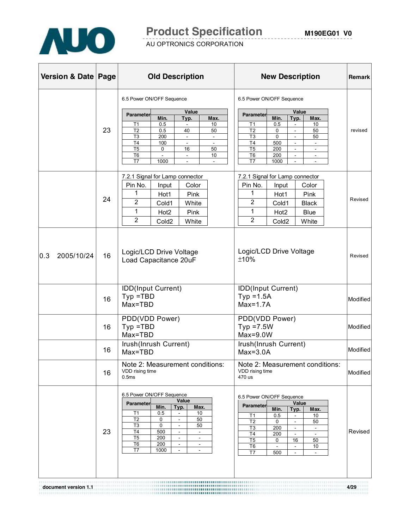

# **Product Specification**

AU OPTRONICS CORPORATION

| Version & Date Page |    | <b>Old Description</b>                                                                                                                                                                                                                                                                                                                                                          | <b>New Description</b>                                                                                                                                                                                                                                                                                                                             | Remark   |
|---------------------|----|---------------------------------------------------------------------------------------------------------------------------------------------------------------------------------------------------------------------------------------------------------------------------------------------------------------------------------------------------------------------------------|----------------------------------------------------------------------------------------------------------------------------------------------------------------------------------------------------------------------------------------------------------------------------------------------------------------------------------------------------|----------|
|                     | 23 | 6.5 Power ON/OFF Sequence<br>Value<br><b>Parameter</b><br>Min.<br>Max.<br>Typ.<br>0.5<br>10<br>T1<br>T <sub>2</sub><br>40<br>50<br>0.5<br>T <sub>3</sub><br>200<br>$\blacksquare$<br>$\overline{\phantom{a}}$<br>T <sub>4</sub><br>100<br>$\omega$<br>$\omega$<br>T <sub>5</sub><br>50<br>0<br>16<br>T <sub>6</sub><br>10<br>÷.<br>$\omega$<br>T7<br>1000<br>$\omega$           | 6.5 Power ON/OFF Sequence<br>Value<br><b>Parameter</b><br>Min.<br>Typ.<br>Max.<br>T1<br>0.5<br>10<br>T <sub>2</sub><br>50<br>0<br>$\omega$<br>T <sub>3</sub><br>0<br>50<br>$\blacksquare$<br>T4<br>500<br>$\omega$<br>$\omega$<br>T <sub>5</sub><br>200<br>$\sim$<br>T <sub>6</sub><br>200<br>$\omega$<br>$\sim$<br>T7<br>1000<br>$\sim$<br>$\sim$ | revised  |
|                     | 24 | 7.2.1 Signal for Lamp connector<br>Pin No.<br>Color<br>Input<br>1<br>Pink<br>Hot1<br>$\overline{2}$<br>Cold1<br>White<br>1<br>Hot <sub>2</sub><br>Pink<br>2<br>Cold <sub>2</sub><br>White                                                                                                                                                                                       | 7.2.1 Signal for Lamp connector<br>Pin No.<br>Color<br>Input<br>1<br><b>Pink</b><br>Hot <sub>1</sub><br>$\overline{2}$<br>Cold1<br><b>Black</b><br>1<br>Hot <sub>2</sub><br>Blue<br>$\overline{2}$<br>Cold <sub>2</sub><br>White                                                                                                                   | Revised  |
| 0.3<br>2005/10/24   | 16 | Logic/LCD Drive Voltage<br>Load Capacitance 20uF                                                                                                                                                                                                                                                                                                                                | Logic/LCD Drive Voltage<br>±10%                                                                                                                                                                                                                                                                                                                    | Revised  |
|                     | 16 | IDD(Input Current)<br>$Type = TBD$<br>Max=TBD                                                                                                                                                                                                                                                                                                                                   | IDD(Input Current)<br>$Typ = 1.5A$<br>$Max=1.7A$                                                                                                                                                                                                                                                                                                   | Modified |
|                     | 16 | PDD(VDD Power)<br>$Type = TBD$<br>Max=TBD                                                                                                                                                                                                                                                                                                                                       | PDD(VDD Power)<br>$Typ = 7.5W$<br>$Max=9.0W$                                                                                                                                                                                                                                                                                                       | Modified |
|                     | 16 | Irush(Inrush Current)<br>Max=TBD                                                                                                                                                                                                                                                                                                                                                | Irush(Inrush Current)<br>$Max=3.0A$                                                                                                                                                                                                                                                                                                                | Modified |
|                     | 16 | Note 2: Measurement conditions:<br>VDD rising time<br>0.5ms                                                                                                                                                                                                                                                                                                                     | Note 2: Measurement conditions:<br>VDD rising time<br>470 us                                                                                                                                                                                                                                                                                       | Modified |
|                     | 23 | 6.5 Power ON/OFF Sequence<br>Value<br><b>Parameter</b><br>Min.<br>Max.<br>Typ.<br>T1<br>0.5<br>10<br>$\sim$<br>T <sub>2</sub><br>0<br>50<br>$\blacksquare$<br>T3<br>0<br>50<br>$\bar{a}$<br>T <sub>4</sub><br>500<br>$\omega$<br>÷.<br>T <sub>5</sub><br>200<br>$\sim$<br>$\sim$<br>T <sub>6</sub><br>200<br>$\blacksquare$<br>$\sim$<br>T7<br>1000<br>$\blacksquare$<br>$\sim$ | 6.5 Power ON/OFF Sequence<br>Value<br><b>Parameter</b><br>Min.<br>Typ.<br>Max.<br>T1<br>0.5<br>10<br>$\sim$<br>T <sub>2</sub><br>0<br>50<br>÷.<br>T <sub>3</sub><br>200<br>$\sim$<br>T4<br>200<br>$\sim$<br>T5<br>0<br>16<br>50<br>T6<br>10<br>$\blacksquare$<br>$\overline{\phantom{a}}$<br>T7<br>500<br>$\blacksquare$                           | Revised  |

**document version 1.1 4/29**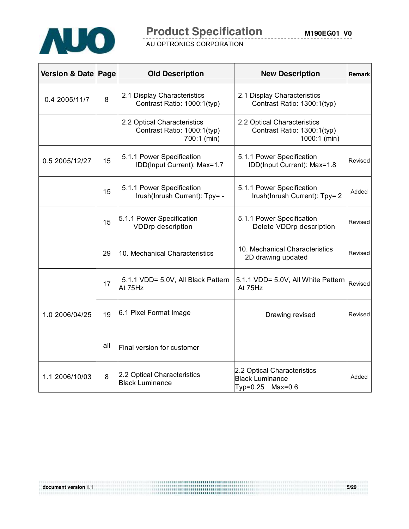

# **Product Specification**

AU OPTRONICS CORPORATION

| Version & Date Page |     | <b>Old Description</b>                                                    | <b>New Description</b>                                                     | Remark  |
|---------------------|-----|---------------------------------------------------------------------------|----------------------------------------------------------------------------|---------|
| 0.4 2005/11/7       | 8   | 2.1 Display Characteristics<br>Contrast Ratio: 1000:1(typ)                | 2.1 Display Characteristics<br>Contrast Ratio: 1300:1(typ)                 |         |
|                     |     | 2.2 Optical Characteristics<br>Contrast Ratio: 1000:1(typ)<br>700:1 (min) | 2.2 Optical Characteristics<br>Contrast Ratio: 1300:1(typ)<br>1000:1 (min) |         |
| 0.5 2005/12/27      | 15  | 5.1.1 Power Specification<br>IDD(Input Current): Max=1.7                  | 5.1.1 Power Specification<br>IDD(Input Current): Max=1.8                   | Revised |
|                     | 15  | 5.1.1 Power Specification<br>Irush(Inrush Current): Tpy= -                | 5.1.1 Power Specification<br>Irush(Inrush Current): Tpy= 2                 | Added   |
|                     | 15  | 5.1.1 Power Specification<br><b>VDDrp description</b>                     | 5.1.1 Power Specification<br>Delete VDDrp description                      | Revised |
|                     | 29  | 10. Mechanical Characteristics                                            | 10. Mechanical Characteristics<br>2D drawing updated                       | Revised |
|                     | 17  | 5.1.1 VDD= 5.0V, All Black Pattern<br>At 75Hz                             | 5.1.1 VDD= 5.0V, All White Pattern<br>At 75Hz                              | Revised |
| 1.0 2006/04/25      | 19  | 6.1 Pixel Format Image                                                    | Drawing revised                                                            | Revised |
|                     | all | Final version for customer                                                |                                                                            |         |
| 1.1 2006/10/03      | 8   | 2.2 Optical Characteristics<br><b>Black Luminance</b>                     | 2.2 Optical Characteristics<br><b>Black Luminance</b><br>Typ=0.25 Max=0.6  | Added   |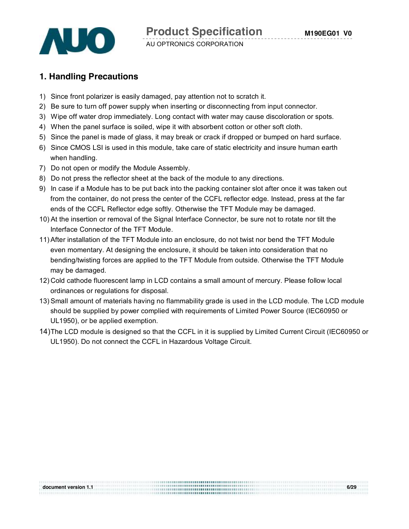



# **1. Handling Precautions**

- 1) Since front polarizer is easily damaged, pay attention not to scratch it.
- 2) Be sure to turn off power supply when inserting or disconnecting from input connector.
- 3) Wipe off water drop immediately. Long contact with water may cause discoloration or spots.
- 4) When the panel surface is soiled, wipe it with absorbent cotton or other soft cloth.
- 5) Since the panel is made of glass, it may break or crack if dropped or bumped on hard surface.
- 6) Since CMOS LSI is used in this module, take care of static electricity and insure human earth when handling.
- 7) Do not open or modify the Module Assembly.
- 8) Do not press the reflector sheet at the back of the module to any directions.
- 9) In case if a Module has to be put back into the packing container slot after once it was taken out from the container, do not press the center of the CCFL reflector edge. Instead, press at the far ends of the CCFL Reflector edge softly. Otherwise the TFT Module may be damaged.
- 10) At the insertion or removal of the Signal Interface Connector, be sure not to rotate nor tilt the Interface Connector of the TFT Module.
- 11)After installation of the TFT Module into an enclosure, do not twist nor bend the TFT Module even momentary. At designing the enclosure, it should be taken into consideration that no bending/twisting forces are applied to the TFT Module from outside. Otherwise the TFT Module may be damaged.
- 12) Cold cathode fluorescent lamp in LCD contains a small amount of mercury. Please follow local ordinances or regulations for disposal.
- 13) Small amount of materials having no flammability grade is used in the LCD module. The LCD module should be supplied by power complied with requirements of Limited Power Source (IEC60950 or UL1950), or be applied exemption.
- 14) The LCD module is designed so that the CCFL in it is supplied by Limited Current Circuit (IEC60950 or UL1950). Do not connect the CCFL in Hazardous Voltage Circuit.

**document version 1.1 6/29**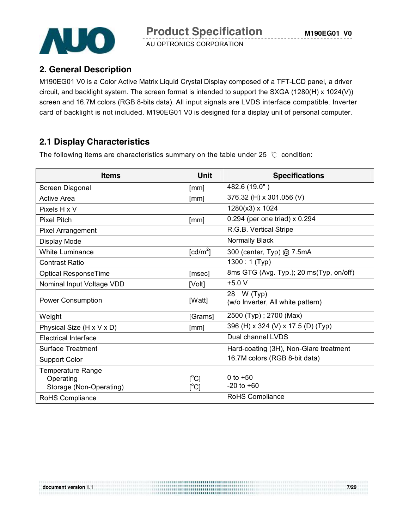

# **2. General Description**

M190EG01 V0 is a Color Active Matrix Liquid Crystal Display composed of a TFT-LCD panel, a driver circuit, and backlight system. The screen format is intended to support the SXGA (1280(H) x 1024(V)) screen and 16.7M colors (RGB 8-bits data). All input signals are LVDS interface compatible. Inverter card of backlight is not included. M190EG01 V0 is designed for a display unit of personal computer.

# **2.1 Display Characteristics**

The following items are characteristics summary on the table under 25  $°C$  condition:

| <b>Items</b>                                                     | <b>Unit</b>                              | <b>Specifications</b>                           |
|------------------------------------------------------------------|------------------------------------------|-------------------------------------------------|
| Screen Diagonal                                                  | [mm]                                     | 482.6 (19.0")                                   |
| <b>Active Area</b>                                               | [mm]                                     | 376.32 (H) x 301.056 (V)                        |
| Pixels H x V                                                     |                                          | 1280(x3) x 1024                                 |
| <b>Pixel Pitch</b>                                               | [mm]                                     | $0.294$ (per one triad) x 0.294                 |
| Pixel Arrangement                                                |                                          | R.G.B. Vertical Stripe                          |
| Display Mode                                                     |                                          | Normally Black                                  |
| <b>White Luminance</b>                                           | [ $cd/m2$ ]                              | 300 (center, Typ) @ 7.5mA                       |
| <b>Contrast Ratio</b>                                            |                                          | $1300:1$ (Typ)                                  |
| Optical ResponseTime                                             | [msec]                                   | 8ms GTG (Avg. Typ.); 20 ms(Typ, on/off)         |
| Nominal Input Voltage VDD                                        | [Volt]                                   | $+5.0V$                                         |
| <b>Power Consumption</b>                                         | [Watt]                                   | 28 W (Typ)<br>(w/o Inverter, All white pattern) |
| Weight                                                           | [Grams]                                  | 2500 (Typ); 2700 (Max)                          |
| Physical Size (H x V x D)                                        | [mm]                                     | 396 (H) x 324 (V) x 17.5 (D) (Typ)              |
| <b>Electrical Interface</b>                                      |                                          | Dual channel LVDS                               |
| <b>Surface Treatment</b>                                         |                                          | Hard-coating (3H), Non-Glare treatment          |
| <b>Support Color</b>                                             |                                          | 16.7M colors (RGB 8-bit data)                   |
| <b>Temperature Range</b><br>Operating<br>Storage (Non-Operating) | $\mathsf{I}^{\circ}$ Cl<br>$[^{\circ}C]$ | 0 to $+50$<br>$-20$ to $+60$                    |
| RoHS Compliance                                                  |                                          | RoHS Compliance                                 |

**document version 1.1 7/29**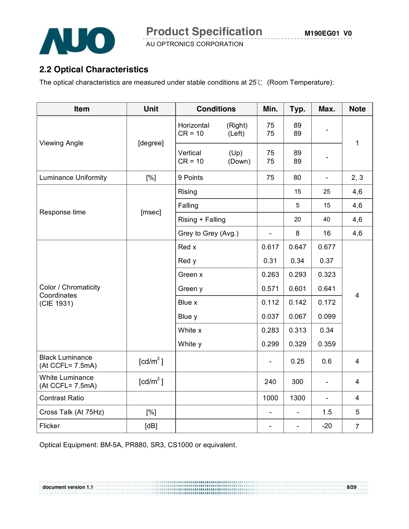

# **2.2 Optical Characteristics**

The optical characteristics are measured under stable conditions at 25℃ (Room Temperature):

| Item                                       | Unit                   |                         | <b>Conditions</b> |                          | Typ.                         | Max.                     | <b>Note</b>             |
|--------------------------------------------|------------------------|-------------------------|-------------------|--------------------------|------------------------------|--------------------------|-------------------------|
|                                            |                        | Horizontal<br>$CR = 10$ | (Right)<br>(Left) | 75<br>75                 | 89<br>89                     |                          | $\mathbf{1}$            |
| <b>Viewing Angle</b>                       | [degree]               | Vertical<br>$CR = 10$   | (Up)<br>(Down)    | 75<br>75                 | 89<br>89                     |                          |                         |
| <b>Luminance Uniformity</b>                | [%]                    | 9 Points                |                   | 75                       | 80                           | $\overline{a}$           | 2, 3                    |
|                                            |                        | Rising                  |                   |                          | 15                           | 25                       | 4,6                     |
|                                            |                        | Falling                 |                   |                          | 5                            | 15                       | 4,6                     |
| Response time                              | [msec]                 | Rising + Falling        |                   |                          | 20                           | 40                       | 4,6                     |
|                                            |                        | Grey to Grey (Avg.)     |                   | $\overline{\phantom{0}}$ | 8                            | 16                       | 4,6                     |
|                                            |                        |                         |                   | 0.617                    | 0.647                        | 0.677                    |                         |
|                                            |                        | Red y                   | 0.31              | 0.34                     | 0.37                         |                          |                         |
|                                            |                        | Green x                 | 0.263             | 0.293                    | 0.323                        |                          |                         |
| Color / Chromaticity<br>Coordinates        |                        | Green y                 |                   | 0.571                    | 0.601                        | 0.641                    | $\overline{\mathbf{4}}$ |
| (CIE 1931)                                 |                        | Blue x                  |                   | 0.112                    | 0.142                        | 0.172                    |                         |
|                                            |                        | Blue y                  | 0.037             | 0.067                    | 0.099                        |                          |                         |
|                                            |                        | White x                 |                   | 0.283                    | 0.313                        | 0.34                     |                         |
|                                            |                        | White y                 |                   |                          |                              | 0.359                    |                         |
| <b>Black Luminance</b><br>(At CCFL= 7.5mA) | $\lceil cd/m^2 \rceil$ |                         |                   |                          | 0.25                         | 0.6                      | $\overline{\mathbf{4}}$ |
| <b>White Luminance</b><br>(At CCFL= 7.5mA) | [cd/m <sup>2</sup> ]   |                         |                   | 240                      | 300                          | $\qquad \qquad -$        | $\overline{4}$          |
| <b>Contrast Ratio</b>                      |                        |                         |                   | 1000                     | 1300                         | $\overline{\phantom{a}}$ | 4                       |
| Cross Talk (At 75Hz)                       | [%]                    |                         |                   | $\overline{\phantom{a}}$ | $\qquad \qquad \blacksquare$ | 1.5                      | 5                       |
| Flicker                                    | [dB]                   |                         |                   | $\overline{\phantom{a}}$ | $\blacksquare$               | $-20$                    | $\overline{7}$          |

**document version 1.1 8/29** 

Optical Equipment: BM-5A, PR880, SR3, CS1000 or equivalent.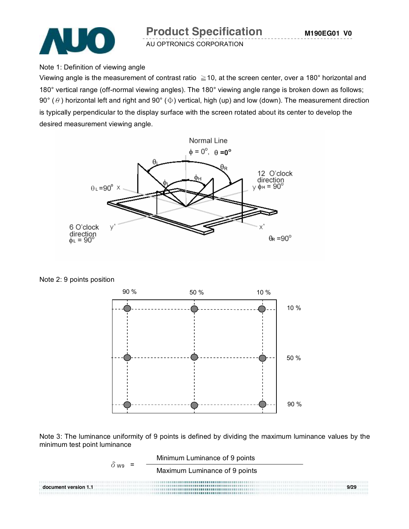

Note 1: Definition of viewing angle

Viewing angle is the measurement of contrast ratio  $\geq$  10, at the screen center, over a 180° horizontal and 180° vertical range (off-normal viewing angles). The 180° viewing angle range is broken down as follows; 90° ( $\theta$ ) horizontal left and right and 90° ( $\Phi$ ) vertical, high (up) and low (down). The measurement direction is typically perpendicular to the display surface with the screen rotated about its center to develop the desired measurement viewing angle.



Note 2: 9 points position



Note 3: The luminance uniformity of 9 points is defined by dividing the maximum luminance values by the minimum test point luminance

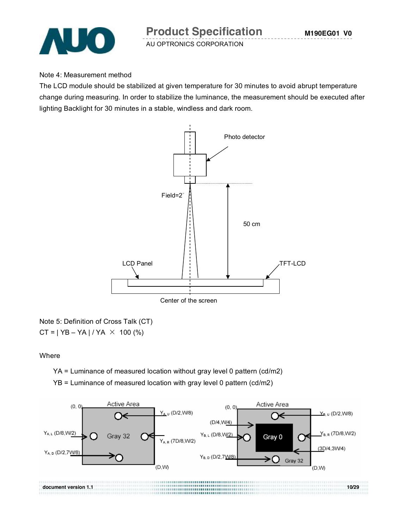

#### Note 4: Measurement method

The LCD module should be stabilized at given temperature for 30 minutes to avoid abrupt temperature change during measuring. In order to stabilize the luminance, the measurement should be executed after lighting Backlight for 30 minutes in a stable, windless and dark room.



Note 5: Definition of Cross Talk (CT)  $CT = | YB - YA | / YA \times 100 (%)$ 

#### **Where**

YA = Luminance of measured location without gray level 0 pattern (cd/m2)

YB = Luminance of measured location with gray level 0 pattern (cd/m2)

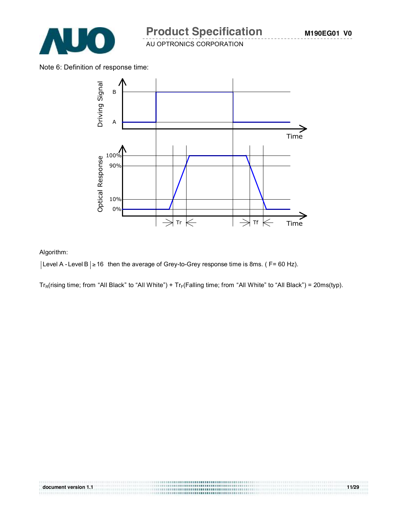

**M190EG01 V0**

AU OPTRONICS CORPORATION

Note 6: Definition of response time:



#### Algorithm:

| Level A - Level B | ≥ 16 then the average of Grey-to-Grey response time is 8ms. ( F= 60 Hz).

 $Tr_R(rising time; from "All Black" to "All White") + Tr_F(Falling time; from "All White" to "All Black") = 20ms(typ).$ 

**document version 1.1 11/29**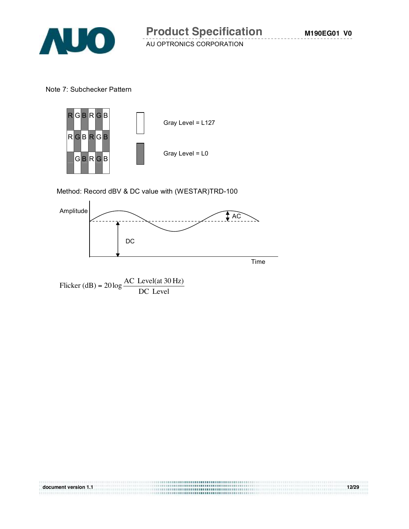

Note 7: Subchecker Pattern



Method: Record dBV & DC value with (WESTAR)TRD-100



**document version 1.1 12/29**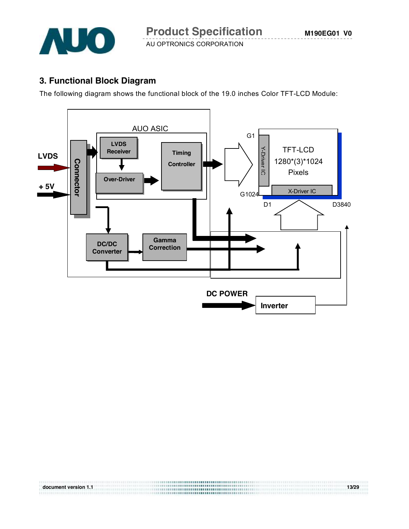

# **3. Functional Block Diagram**

The following diagram shows the functional block of the 19.0 inches Color TFT-LCD Module:



**document version 1.1 13/29**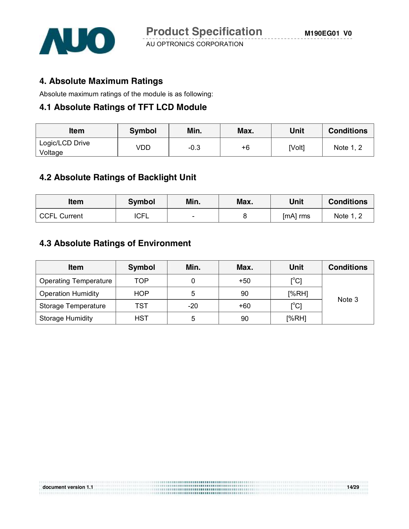

#### **4. Absolute Maximum Ratings**

Absolute maximum ratings of the module is as following:

#### **4.1 Absolute Ratings of TFT LCD Module**

| <b>Item</b>                | <b>Symbol</b> | Min. | Max. | Unit   | <b>Conditions</b> |
|----------------------------|---------------|------|------|--------|-------------------|
| Logic/LCD Drive<br>Voltage | √DD           | -0.3 | +6   | [Volt] | Note 1, 2         |

### **4.2 Absolute Ratings of Backlight Unit**

| ltem         | Symbol      | Min.<br>Max. |  | Unit     | <b>Conditions</b> |
|--------------|-------------|--------------|--|----------|-------------------|
| CCFL Current | <b>ICFL</b> | $\sim$       |  | [mA] rms | Note 1, 2         |

### **4.3 Absolute Ratings of Environment**

| <b>Item</b>                  | Symbol     | Min.  | Max.  | <b>Unit</b>                             | <b>Conditions</b> |
|------------------------------|------------|-------|-------|-----------------------------------------|-------------------|
| <b>Operating Temperature</b> | TOP        |       | $+50$ | $\mathsf{I}^\circ\mathsf{C} \mathsf{I}$ |                   |
| <b>Operation Humidity</b>    | <b>HOP</b> | 5     | 90    | [%RH]                                   | Note 3            |
| Storage Temperature          | TST        | $-20$ | $+60$ | $\mathsf{I}^\circ\mathsf{C} \mathsf{I}$ |                   |
| <b>Storage Humidity</b>      | HST        | 5     | 90    | [%RH]                                   |                   |

**document version 1.1 14/29**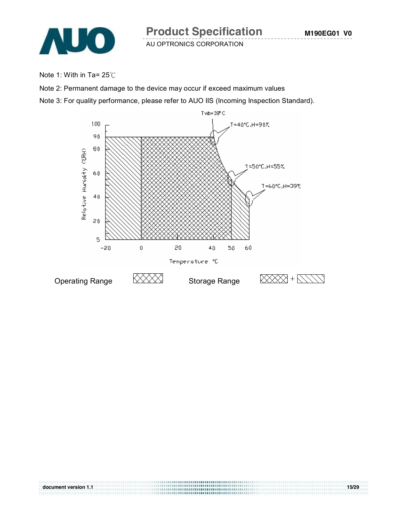

Note 1: With in Ta= 25℃

Note 2: Permanent damage to the device may occur if exceed maximum values

Note 3: For quality performance, please refer to AUO IIS (Incoming Inspection Standard).



**document version 1.1 15/29**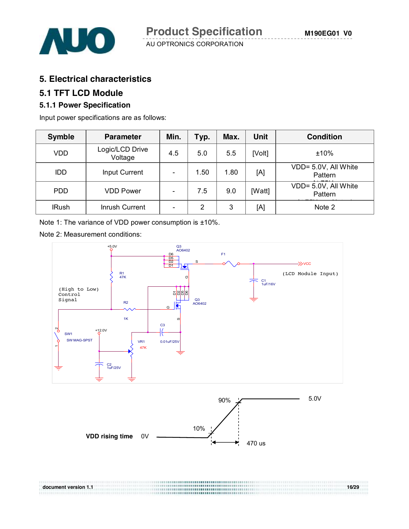

#### **5. Electrical characteristics**

#### **5.1 TFT LCD Module**

#### **5.1.1 Power Specification**

Input power specifications are as follows:

| <b>Symble</b> | <b>Parameter</b>           | Min.                     | Typ.           | Max. | <b>Unit</b> | <b>Condition</b>                |
|---------------|----------------------------|--------------------------|----------------|------|-------------|---------------------------------|
| VDD           | Logic/LCD Drive<br>Voltage | 4.5                      | 5.0            | 5.5  | [Volt]      | ±10%                            |
| IDD.          | Input Current              | $\overline{\phantom{a}}$ | 1.50           | 1.80 | [A]         | VDD= 5.0V, All White<br>Pattern |
| <b>PDD</b>    | <b>VDD Power</b>           | $\overline{\phantom{0}}$ | 7.5            | 9.0  | [Watt]      | VDD= 5.0V, All White<br>Pattern |
| <b>IRush</b>  | Inrush Current             | $\overline{\phantom{a}}$ | $\overline{2}$ | 3    | [A]         | Note 2                          |

Note 1: The variance of VDD power consumption is ±10%.

Note 2: Measurement conditions:



**document version 1.1 16/29**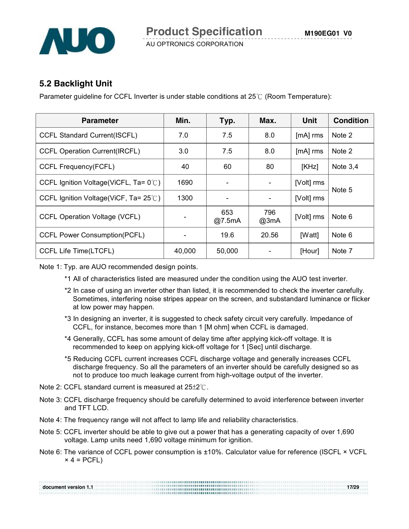#### **5.2 Backlight Unit**

Parameter guideline for CCFL Inverter is under stable conditions at 25℃ (Room Temperature):

| <b>Parameter</b>                                | Min.   | Typ.                     | Max.        | <b>Unit</b> | <b>Condition</b> |
|-------------------------------------------------|--------|--------------------------|-------------|-------------|------------------|
| <b>CCFL Standard Current(ISCFL)</b>             | 7.0    | 7.5                      | 8.0         | $[mA]$ rms  | Note 2           |
| <b>CCFL Operation Current(IRCFL)</b>            | 3.0    | 7.5                      | 8.0         | $[mA]$ rms  | Note 2           |
| CCFL Frequency(FCFL)                            | 40     | 60                       | 80          | [KHz]       | Note $3,4$       |
| CCFL Ignition Voltage(ViCFL, Ta= $0^{\circ}$ C) | 1690   | $\blacksquare$           |             | [Volt] rms  | Note 5           |
| CCFL Ignition Voltage(ViCF, Ta= $25^{\circ}$ C) | 1300   | $\overline{\phantom{a}}$ |             | [Volt] rms  |                  |
| <b>CCFL Operation Voltage (VCFL)</b>            |        | 653<br>@7.5mA            | 796<br>@3mA | [Volt] rms  | Note 6           |
| <b>CCFL Power Consumption(PCFL)</b>             |        | 19.6                     | 20.56       | [Watt]      | Note 6           |
| CCFL Life Time(LTCFL)                           | 40,000 | 50,000                   |             | [Hour]      | Note 7           |

Note 1: Typ. are AUO recommended design points.

- \*1 All of characteristics listed are measured under the condition using the AUO test inverter.
- \*2 In case of using an inverter other than listed, it is recommended to check the inverter carefully. Sometimes, interfering noise stripes appear on the screen, and substandard luminance or flicker at low power may happen.
- \*3 In designing an inverter, it is suggested to check safety circuit very carefully. Impedance of CCFL, for instance, becomes more than 1 [M ohm] when CCFL is damaged.
- \*4 Generally, CCFL has some amount of delay time after applying kick-off voltage. It is recommended to keep on applying kick-off voltage for 1 [Sec] until discharge.
- \*5 Reducing CCFL current increases CCFL discharge voltage and generally increases CCFL discharge frequency. So all the parameters of an inverter should be carefully designed so as not to produce too much leakage current from high-voltage output of the inverter.
- Note 2: CCFL standard current is measured at 25±2℃.
- Note 3: CCFL discharge frequency should be carefully determined to avoid interference between inverter and TFT LCD.
- Note 4: The frequency range will not affect to lamp life and reliability characteristics.
- Note 5: CCFL inverter should be able to give out a power that has a generating capacity of over 1,690 voltage. Lamp units need 1,690 voltage minimum for ignition.
- Note 6: The variance of CCFL power consumption is ±10%. Calculator value for reference (ISCFL × VCFL  $\times$  4 = PCFL)

|                      |  | 17/29 |
|----------------------|--|-------|
| document version 1.1 |  |       |
|                      |  |       |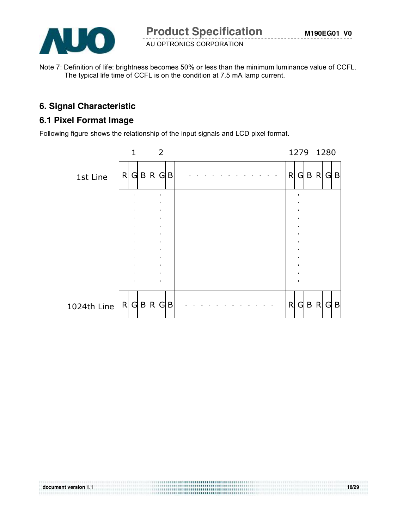

Note 7: Definition of life: brightness becomes 50% or less than the minimum luminance value of CCFL. The typical life time of CCFL is on the condition at 7.5 mA lamp current.

# **6. Signal Characteristic**

## **6.1 Pixel Format Image**

Following figure shows the relationship of the input signals and LCD pixel format.



**document version 1.1 18/29**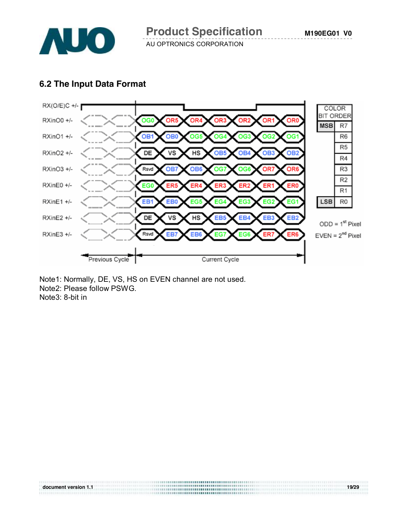

#### **6.2 The Input Data Format**



**document version 1.1 19/29** 

Note1: Normally, DE, VS, HS on EVEN channel are not used. Note2: Please follow PSWG. Note3: 8-bit in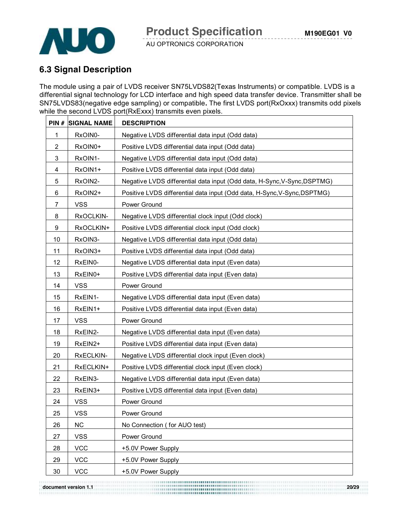



# **6.3 Signal Description**

The module using a pair of LVDS receiver SN75LVDS82(Texas Instruments) or compatible. LVDS is a differential signal technology for LCD interface and high speed data transfer device. Transmitter shall be SN75LVDS83(negative edge sampling) or compatible**.** The first LVDS port(RxOxxx) transmits odd pixels while the second LVDS port(RxExxx) transmits even pixels.

| PIN#           | <b>SIGNAL NAME</b> | <b>DESCRIPTION</b>                                                       |
|----------------|--------------------|--------------------------------------------------------------------------|
| 1              | RxOIN0-            | Negative LVDS differential data input (Odd data)                         |
| 2              | RxOIN0+            | Positive LVDS differential data input (Odd data)                         |
| 3              | RxOIN1-            | Negative LVDS differential data input (Odd data)                         |
| 4              | RxOIN1+            | Positive LVDS differential data input (Odd data)                         |
| 5              | RxOIN2-            | Negative LVDS differential data input (Odd data, H-Sync, V-Sync, DSPTMG) |
| 6              | RxOIN2+            | Positive LVDS differential data input (Odd data, H-Sync, V-Sync, DSPTMG) |
| $\overline{7}$ | <b>VSS</b>         | Power Ground                                                             |
| 8              | RxOCLKIN-          | Negative LVDS differential clock input (Odd clock)                       |
| 9              | RxOCLKIN+          | Positive LVDS differential clock input (Odd clock)                       |
| 10             | RxOIN3-            | Negative LVDS differential data input (Odd data)                         |
| 11             | RxOIN3+            | Positive LVDS differential data input (Odd data)                         |
| 12             | RxEIN0-            | Negative LVDS differential data input (Even data)                        |
| 13             | RxEIN0+            | Positive LVDS differential data input (Even data)                        |
| 14             | <b>VSS</b>         | Power Ground                                                             |
| 15             | RxEIN1-            | Negative LVDS differential data input (Even data)                        |
| 16             | RxEIN1+            | Positive LVDS differential data input (Even data)                        |
| 17             | <b>VSS</b>         | Power Ground                                                             |
| 18             | RxEIN2-            | Negative LVDS differential data input (Even data)                        |
| 19             | RxEIN2+            | Positive LVDS differential data input (Even data)                        |
| 20             | RxECLKIN-          | Negative LVDS differential clock input (Even clock)                      |
| 21             | RxECLKIN+          | Positive LVDS differential clock input (Even clock)                      |
| 22             | RxEIN3-            | Negative LVDS differential data input (Even data)                        |
| 23             | RxEIN3+            | Positive LVDS differential data input (Even data)                        |
| 24             | <b>VSS</b>         | Power Ground                                                             |
| 25             | <b>VSS</b>         | Power Ground                                                             |
| 26             | NC                 | No Connection (for AUO test)                                             |
| 27             | <b>VSS</b>         | Power Ground                                                             |
| 28             | <b>VCC</b>         | +5.0V Power Supply                                                       |
| 29             | <b>VCC</b>         | +5.0V Power Supply                                                       |
| 30             | <b>VCC</b>         | +5.0V Power Supply                                                       |

**document version 1.1 20/29**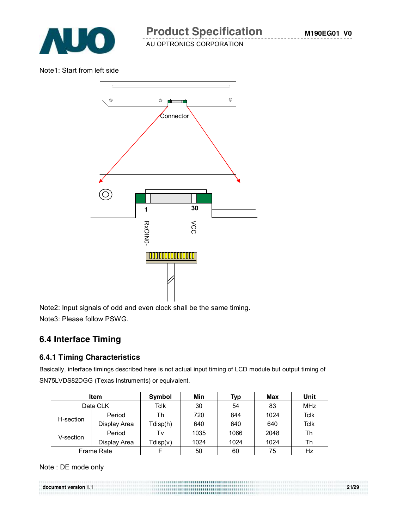

Note1: Start from left side



Note2: Input signals of odd and even clock shall be the same timing. Note3: Please follow PSWG.

# **6.4 Interface Timing**

#### **6.4.1 Timing Characteristics**

Basically, interface timings described here is not actual input timing of LCD module but output timing of SN75LVDS82DGG (Texas Instruments) or equivalent.

| <b>Item</b> |                   | Symbol                   | Min  | Typ  | Max  | Unit        |
|-------------|-------------------|--------------------------|------|------|------|-------------|
| Data CLK    |                   | Tclk                     | 30   | 54   | 83   | <b>MHz</b>  |
| H-section   | Period            | Th                       | 720  | 844  | 1024 | <b>Tclk</b> |
|             | Display Area      | Tdisp(h)                 | 640  | 640  | 640  | <b>Tclk</b> |
|             | Period            | Tv                       | 1035 | 1066 | 2048 | Th          |
| V-section   | Display Area      | 1024<br>1024<br>Tdisp(v) |      | 1024 | Th   |             |
|             | <b>Frame Rate</b> |                          | 50   | 60   | 75   | Hz          |

Note : DE mode only

**document version 1.1 21/29**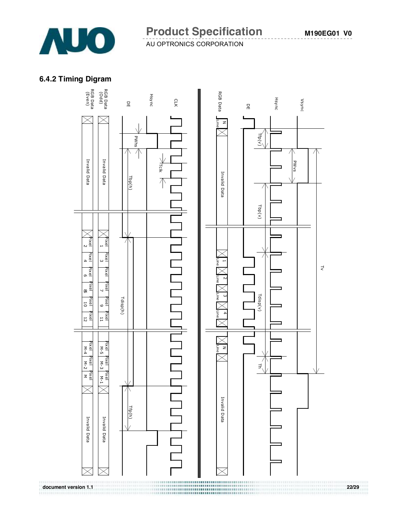

#### **6.4.2 Timing Digram**

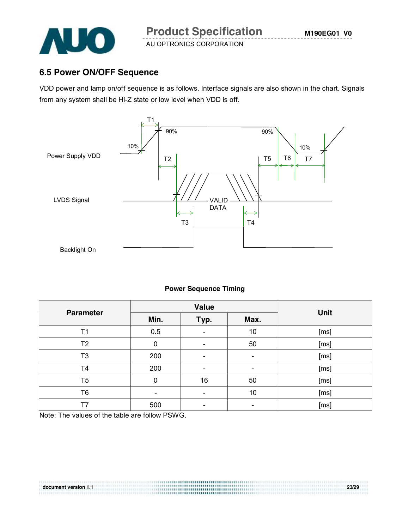

# **6.5 Power ON/OFF Sequence**

VDD power and lamp on/off sequence is as follows. Interface signals are also shown in the chart. Signals from any system shall be Hi-Z state or low level when VDD is off.



#### **Power Sequence Timing**

|                  |                 | Value                    |      | Unit |  |
|------------------|-----------------|--------------------------|------|------|--|
| <b>Parameter</b> | Min.            | Typ.                     | Max. |      |  |
| T1               | 0.5             |                          | 10   | [ms] |  |
| T <sub>2</sub>   | 0               | $\overline{\phantom{0}}$ | 50   | [ms] |  |
| T <sub>3</sub>   | 200             | $\overline{\phantom{0}}$ | -    | [ms] |  |
| T <sub>4</sub>   | 200             |                          | -    | [ms] |  |
| T <sub>5</sub>   | 0               | 16                       | 50   | [ms] |  |
| T <sub>6</sub>   | $\qquad \qquad$ |                          | 10   | [ms] |  |
| T7               | 500             |                          |      | [ms] |  |

**document version 1.1 23/29** 

Note: The values of the table are follow PSWG.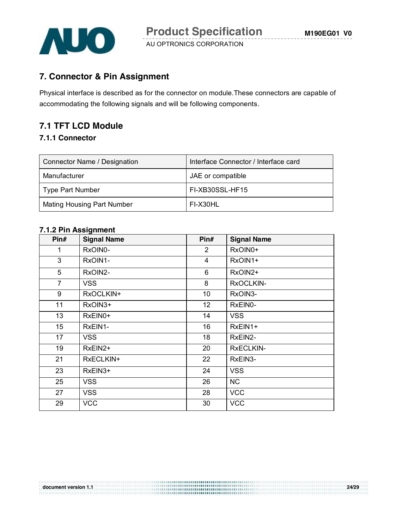

### **7. Connector & Pin Assignment**

Physical interface is described as for the connector on module.These connectors are capable of accommodating the following signals and will be following components.

# **7.1 TFT LCD Module**

#### **7.1.1 Connector**

| Connector Name / Designation      | Interface Connector / Interface card |
|-----------------------------------|--------------------------------------|
| Manufacturer                      | JAE or compatible                    |
| Type Part Number                  | FI-XB30SSL-HF15                      |
| <b>Mating Housing Part Number</b> | FI-X30HL                             |

#### **7.1.2 Pin Assignment**

| Pin#           | <b>Signal Name</b> | Pin#           | <b>Signal Name</b> |
|----------------|--------------------|----------------|--------------------|
| 1              | RxOIN0-            | $\overline{2}$ | RxOIN0+            |
| 3              | RxOIN1-            | $\overline{4}$ | RxOIN1+            |
| 5              | RxOIN2-            | 6              | RxOIN2+            |
| $\overline{7}$ | <b>VSS</b>         | 8              | RxOCLKIN-          |
| 9              | RxOCLKIN+          | 10             | RxOIN3-            |
| 11             | RxOIN3+            | 12             | RxEIN0-            |
| 13             | RxEIN0+            | 14             | <b>VSS</b>         |
| 15             | RxEIN1-            | 16             | RxEIN1+            |
| 17             | <b>VSS</b>         | 18             | RxEIN2-            |
| 19             | RxEIN2+            | 20             | <b>RXECLKIN-</b>   |
| 21             | RxECLKIN+          | 22             | RxEIN3-            |
| 23             | RxEIN3+            | 24             | <b>VSS</b>         |
| 25             | <b>VSS</b>         | 26             | <b>NC</b>          |
| 27             | <b>VSS</b>         | 28             | <b>VCC</b>         |
| 29             | <b>VCC</b>         | 30             | <b>VCC</b>         |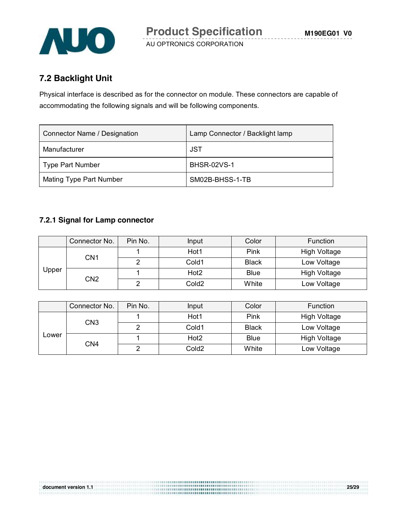

# **7.2 Backlight Unit**

Physical interface is described as for the connector on module. These connectors are capable of accommodating the following signals and will be following components.

| Connector Name / Designation | Lamp Connector / Backlight lamp |
|------------------------------|---------------------------------|
| Manufacturer                 | JST                             |
| <b>Type Part Number</b>      | <b>BHSR-02VS-1</b>              |
| Mating Type Part Number      | SM02B-BHSS-1-TB                 |

#### **7.2.1 Signal for Lamp connector**

|              | Connector No. | Pin No. | Input             | Color        | <b>Function</b>     |
|--------------|---------------|---------|-------------------|--------------|---------------------|
|              |               |         | Hot1              | Pink         | High Voltage        |
|              | CN1           |         | Cold1             | <b>Black</b> | Low Voltage         |
| <b>Upper</b> |               |         | Hot <sub>2</sub>  | <b>Blue</b>  | <b>High Voltage</b> |
|              | CN2           |         | Cold <sub>2</sub> | White        | Low Voltage         |

|       | Connector No.   | Pin No. | Input             | Color        | <b>Function</b>     |
|-------|-----------------|---------|-------------------|--------------|---------------------|
|       | CN <sub>3</sub> |         | Hot1              | Pink         | High Voltage        |
|       |                 |         | Cold1             | <b>Black</b> | Low Voltage         |
| Lower |                 |         | Hot2              | <b>Blue</b>  | <b>High Voltage</b> |
|       | CN4             |         | Cold <sub>2</sub> | White        | Low Voltage         |

**document version 1.1 25/29**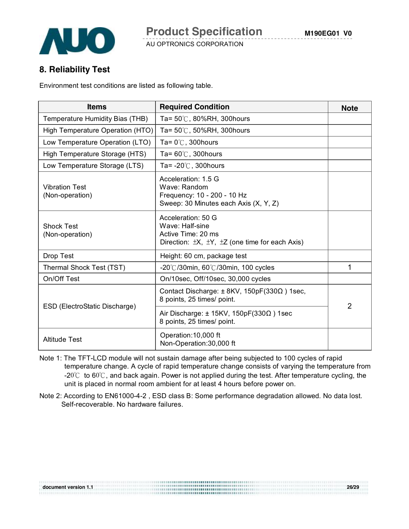

# **8. Reliability Test**

Environment test conditions are listed as following table.

| <b>Items</b>                             | <b>Required Condition</b>                                                                                                      | <b>Note</b>    |
|------------------------------------------|--------------------------------------------------------------------------------------------------------------------------------|----------------|
| Temperature Humidity Bias (THB)          | Ta= $50^{\circ}$ C, 80%RH, 300 hours                                                                                           |                |
| High Temperature Operation (HTO)         | Ta= 50℃, 50%RH, 300hours                                                                                                       |                |
| Low Temperature Operation (LTO)          | Ta= $0^{\circ}$ C, 300 hours                                                                                                   |                |
| High Temperature Storage (HTS)           | Ta= $60^{\circ}$ C, 300 hours                                                                                                  |                |
| Low Temperature Storage (LTS)            | Ta= $-20^{\circ}$ C, 300 hours                                                                                                 |                |
| <b>Vibration Test</b><br>(Non-operation) | Acceleration: 1.5 G<br>Wave: Random<br>Frequency: 10 - 200 - 10 Hz<br>Sweep: 30 Minutes each Axis (X, Y, Z)                    |                |
| <b>Shock Test</b><br>(Non-operation)     | Acceleration: 50 G<br>Wave: Half-sine<br>Active Time: 20 ms<br>Direction: $\pm X$ , $\pm Y$ , $\pm Z$ (one time for each Axis) |                |
| Drop Test                                | Height: 60 cm, package test                                                                                                    |                |
| Thermal Shock Test (TST)                 | -20 $\degree$ C/30min, 60 $\degree$ C/30min, 100 cycles                                                                        | 1              |
| On/Off Test                              | On/10sec, Off/10sec, 30,000 cycles                                                                                             |                |
|                                          | Contact Discharge: $\pm$ 8KV, 150pF(330 $\Omega$ ) 1sec,<br>8 points, 25 times/ point.                                         | $\overline{2}$ |
| ESD (ElectroStatic Discharge)            | Air Discharge: $\pm$ 15KV, 150pF(330 $\Omega$ ) 1sec<br>8 points, 25 times/ point.                                             |                |
| <b>Altitude Test</b>                     | Operation: 10,000 ft<br>Non-Operation:30,000 ft                                                                                |                |

Note 1: The TFT-LCD module will not sustain damage after being subjected to 100 cycles of rapid temperature change. A cycle of rapid temperature change consists of varying the temperature from -20℃ to 60℃, and back again. Power is not applied during the test. After temperature cycling, the unit is placed in normal room ambient for at least 4 hours before power on.

Note 2: According to EN61000-4-2 , ESD class B: Some performance degradation allowed. No data lost. Self-recoverable. No hardware failures.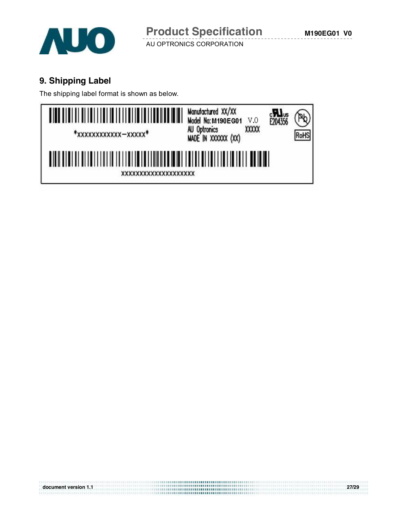

# **9. Shipping Label**

The shipping label format is shown as below.



**document version 1.1 27/29**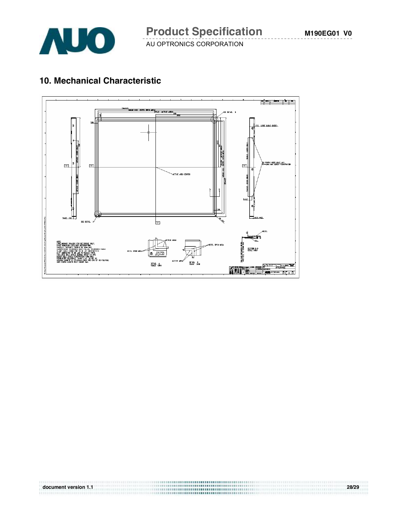

# **10. Mechanical Characteristic**



**document version 1.1 28/29**